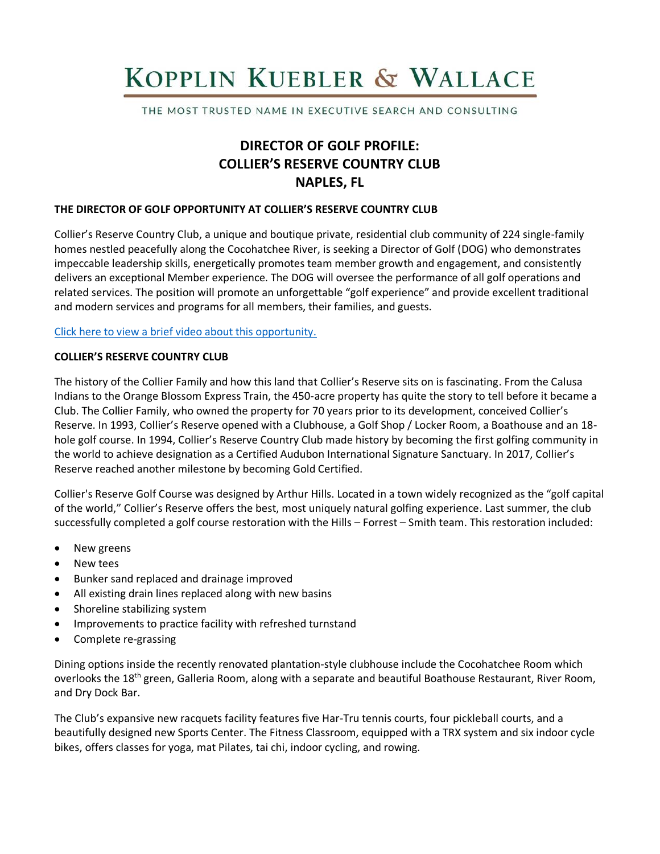# KOPPLIN KUEBLER & WALLACE

THE MOST TRUSTED NAME IN EXECUTIVE SEARCH AND CONSULTING

# **DIRECTOR OF GOLF PROFILE: COLLIER'S RESERVE COUNTRY CLUB NAPLES, FL**

#### **THE DIRECTOR OF GOLF OPPORTUNITY AT COLLIER'S RESERVE COUNTRY CLUB**

Collier's Reserve Country Club, a unique and boutique private, residential club community of 224 single-family homes nestled peacefully along the Cocohatchee River, is seeking a Director of Golf (DOG) who demonstrates impeccable leadership skills, energetically promotes team member growth and engagement, and consistently delivers an exceptional Member experience. The DOG will oversee the performance of all golf operations and related services. The position will promote an unforgettable "golf experience" and provide excellent traditional and modern services and programs for all members, their families, and guests.

#### [Click here to view a brief video about this opportunity.](https://www.youtube.com/watch?v=E_zZYGj-SUk)

#### **COLLIER'S RESERVE COUNTRY CLUB**

The history of the Collier Family and how this land that Collier's Reserve sits on is fascinating. From the Calusa Indians to the Orange Blossom Express Train, the 450-acre property has quite the story to tell before it became a Club. The Collier Family, who owned the property for 70 years prior to its development, conceived Collier's Reserve. In 1993, Collier's Reserve opened with a Clubhouse, a Golf Shop / Locker Room, a Boathouse and an 18 hole golf course. In 1994, Collier's Reserve Country Club made history by becoming the first golfing community in the world to achieve designation as a Certified Audubon International Signature Sanctuary. In 2017, Collier's Reserve reached another milestone by becoming Gold Certified.

Collier's Reserve Golf Course was designed by Arthur Hills. Located in a town widely recognized as the "golf capital of the world," Collier's Reserve offers the best, most uniquely natural golfing experience. Last summer, the club successfully completed a golf course restoration with the Hills – Forrest – Smith team. This restoration included:

- New greens
- New tees
- Bunker sand replaced and drainage improved
- All existing drain lines replaced along with new basins
- Shoreline stabilizing system
- Improvements to practice facility with refreshed turnstand
- Complete re-grassing

Dining options inside the recently renovated plantation-style clubhouse include the Cocohatchee Room which overlooks the 18<sup>th</sup> green, Galleria Room, along with a separate and beautiful Boathouse Restaurant, River Room, and Dry Dock Bar.

The Club's expansive new racquets facility features five Har-Tru tennis courts, four pickleball courts, and a beautifully designed new Sports Center. The Fitness Classroom, equipped with a TRX system and six indoor cycle bikes, offers classes for yoga, mat Pilates, tai chi, indoor cycling, and rowing.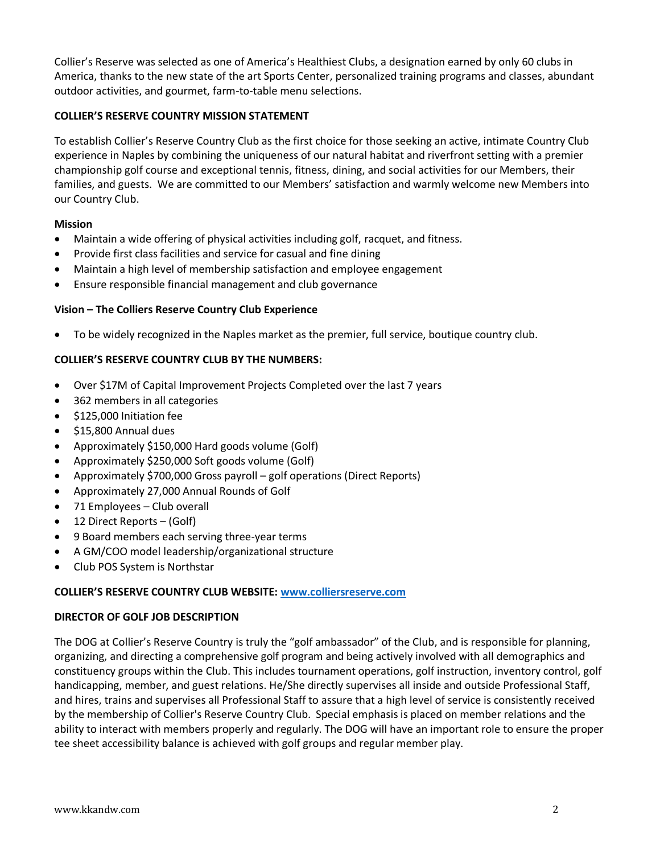Collier's Reserve was selected as one of America's Healthiest Clubs, a designation earned by only 60 clubs in America, thanks to the new state of the art Sports Center, personalized training programs and classes, abundant outdoor activities, and gourmet, farm-to-table menu selections.

# **COLLIER'S RESERVE COUNTRY MISSION STATEMENT**

To establish Collier's Reserve Country Club as the first choice for those seeking an active, intimate Country Club experience in Naples by combining the uniqueness of our natural habitat and riverfront setting with a premier championship golf course and exceptional tennis, fitness, dining, and social activities for our Members, their families, and guests. We are committed to our Members' satisfaction and warmly welcome new Members into our Country Club.

#### **Mission**

- Maintain a wide offering of physical activities including golf, racquet, and fitness.
- Provide first class facilities and service for casual and fine dining
- Maintain a high level of membership satisfaction and employee engagement
- Ensure responsible financial management and club governance

# **Vision – The Colliers Reserve Country Club Experience**

• To be widely recognized in the Naples market as the premier, full service, boutique country club.

# **COLLIER'S RESERVE COUNTRY CLUB BY THE NUMBERS:**

- Over \$17M of Capital Improvement Projects Completed over the last 7 years
- 362 members in all categories
- \$125,000 Initiation fee
- \$15,800 Annual dues
- Approximately \$150,000 Hard goods volume (Golf)
- Approximately \$250,000 Soft goods volume (Golf)
- Approximately \$700,000 Gross payroll golf operations (Direct Reports)
- Approximately 27,000 Annual Rounds of Golf
- 71 Employees Club overall
- 12 Direct Reports (Golf)
- 9 Board members each serving three-year terms
- A GM/COO model leadership/organizational structure
- Club POS System is Northstar

#### **COLLIER'S RESERVE COUNTRY CLUB WEBSITE: [www.colliersreserve.com](http://www.colliersreserve.com/)**

#### **DIRECTOR OF GOLF JOB DESCRIPTION**

The DOG at Collier's Reserve Country is truly the "golf ambassador" of the Club, and is responsible for planning, organizing, and directing a comprehensive golf program and being actively involved with all demographics and constituency groups within the Club. This includes tournament operations, golf instruction, inventory control, golf handicapping, member, and guest relations. He/She directly supervises all inside and outside Professional Staff, and hires, trains and supervises all Professional Staff to assure that a high level of service is consistently received by the membership of Collier's Reserve Country Club. Special emphasis is placed on member relations and the ability to interact with members properly and regularly. The DOG will have an important role to ensure the proper tee sheet accessibility balance is achieved with golf groups and regular member play.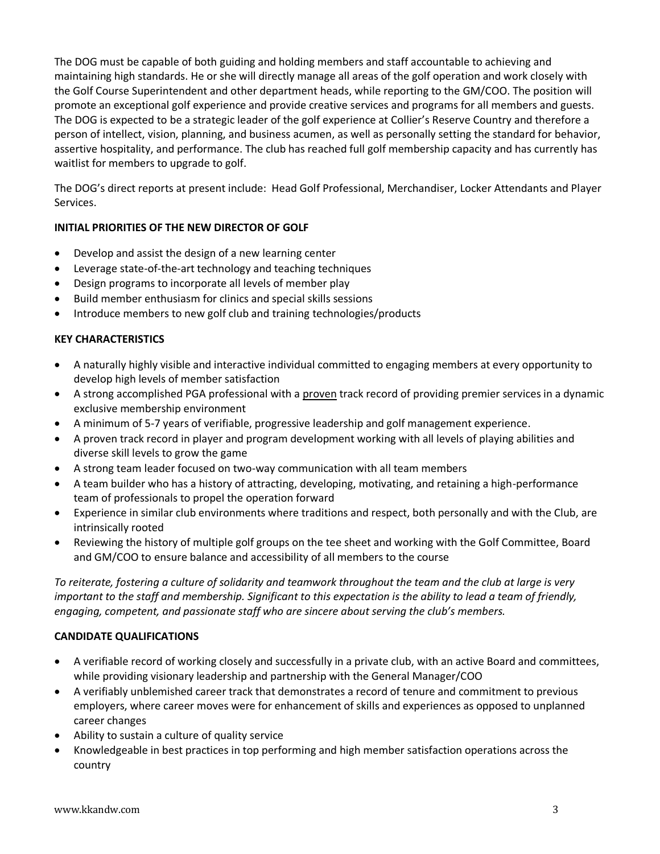The DOG must be capable of both guiding and holding members and staff accountable to achieving and maintaining high standards. He or she will directly manage all areas of the golf operation and work closely with the Golf Course Superintendent and other department heads, while reporting to the GM/COO. The position will promote an exceptional golf experience and provide creative services and programs for all members and guests. The DOG is expected to be a strategic leader of the golf experience at Collier's Reserve Country and therefore a person of intellect, vision, planning, and business acumen, as well as personally setting the standard for behavior, assertive hospitality, and performance. The club has reached full golf membership capacity and has currently has waitlist for members to upgrade to golf.

The DOG's direct reports at present include: Head Golf Professional, Merchandiser, Locker Attendants and Player Services.

# **INITIAL PRIORITIES OF THE NEW DIRECTOR OF GOLF**

- Develop and assist the design of a new learning center
- Leverage state-of-the-art technology and teaching techniques
- Design programs to incorporate all levels of member play
- Build member enthusiasm for clinics and special skills sessions
- Introduce members to new golf club and training technologies/products

# **KEY CHARACTERISTICS**

- A naturally highly visible and interactive individual committed to engaging members at every opportunity to develop high levels of member satisfaction
- A strong accomplished PGA professional with a proven track record of providing premier services in a dynamic exclusive membership environment
- A minimum of 5-7 years of verifiable, progressive leadership and golf management experience.
- A proven track record in player and program development working with all levels of playing abilities and diverse skill levels to grow the game
- A strong team leader focused on two-way communication with all team members
- A team builder who has a history of attracting, developing, motivating, and retaining a high-performance team of professionals to propel the operation forward
- Experience in similar club environments where traditions and respect, both personally and with the Club, are intrinsically rooted
- Reviewing the history of multiple golf groups on the tee sheet and working with the Golf Committee, Board and GM/COO to ensure balance and accessibility of all members to the course

*To reiterate, fostering a culture of solidarity and teamwork throughout the team and the club at large is very important to the staff and membership. Significant to this expectation is the ability to lead a team of friendly, engaging, competent, and passionate staff who are sincere about serving the club's members.* 

#### **CANDIDATE QUALIFICATIONS**

- A verifiable record of working closely and successfully in a private club, with an active Board and committees, while providing visionary leadership and partnership with the General Manager/COO
- A verifiably unblemished career track that demonstrates a record of tenure and commitment to previous employers, where career moves were for enhancement of skills and experiences as opposed to unplanned career changes
- Ability to sustain a culture of quality service
- Knowledgeable in best practices in top performing and high member satisfaction operations across the country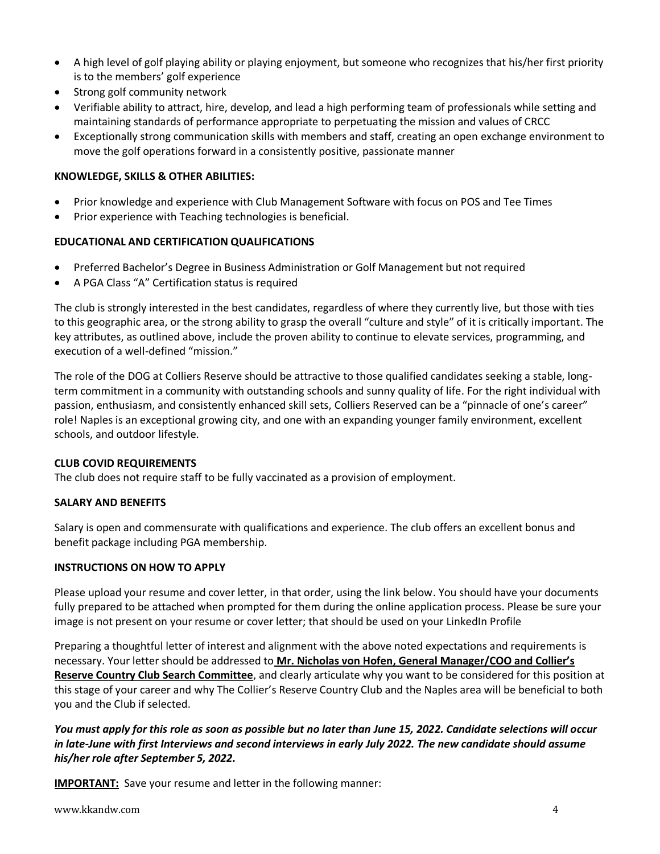- A high level of golf playing ability or playing enjoyment, but someone who recognizes that his/her first priority is to the members' golf experience
- Strong golf community network
- Verifiable ability to attract, hire, develop, and lead a high performing team of professionals while setting and maintaining standards of performance appropriate to perpetuating the mission and values of CRCC
- Exceptionally strong communication skills with members and staff, creating an open exchange environment to move the golf operations forward in a consistently positive, passionate manner

#### **KNOWLEDGE, SKILLS & OTHER ABILITIES:**

- Prior knowledge and experience with Club Management Software with focus on POS and Tee Times
- Prior experience with Teaching technologies is beneficial.

# **EDUCATIONAL AND CERTIFICATION QUALIFICATIONS**

- Preferred Bachelor's Degree in Business Administration or Golf Management but not required
- A PGA Class "A" Certification status is required

The club is strongly interested in the best candidates, regardless of where they currently live, but those with ties to this geographic area, or the strong ability to grasp the overall "culture and style" of it is critically important. The key attributes, as outlined above, include the proven ability to continue to elevate services, programming, and execution of a well-defined "mission."

The role of the DOG at Colliers Reserve should be attractive to those qualified candidates seeking a stable, longterm commitment in a community with outstanding schools and sunny quality of life. For the right individual with passion, enthusiasm, and consistently enhanced skill sets, Colliers Reserved can be a "pinnacle of one's career" role! Naples is an exceptional growing city, and one with an expanding younger family environment, excellent schools, and outdoor lifestyle.

#### **CLUB COVID REQUIREMENTS**

The club does not require staff to be fully vaccinated as a provision of employment.

#### **SALARY AND BENEFITS**

Salary is open and commensurate with qualifications and experience. The club offers an excellent bonus and benefit package including PGA membership.

#### **INSTRUCTIONS ON HOW TO APPLY**

Please upload your resume and cover letter, in that order, using the link below. You should have your documents fully prepared to be attached when prompted for them during the online application process. Please be sure your image is not present on your resume or cover letter; that should be used on your LinkedIn Profile

Preparing a thoughtful letter of interest and alignment with the above noted expectations and requirements is necessary. Your letter should be addressed to **Mr. Nicholas von Hofen, General Manager/COO and Collier's Reserve Country Club Search Committee**, and clearly articulate why you want to be considered for this position at this stage of your career and why The Collier's Reserve Country Club and the Naples area will be beneficial to both you and the Club if selected.

*You must apply for this role as soon as possible but no later than June 15, 2022. Candidate selections will occur in late-June with first Interviews and second interviews in early July 2022. The new candidate should assume his/her role after September 5, 2022.* 

**IMPORTANT:** Save your resume and letter in the following manner: